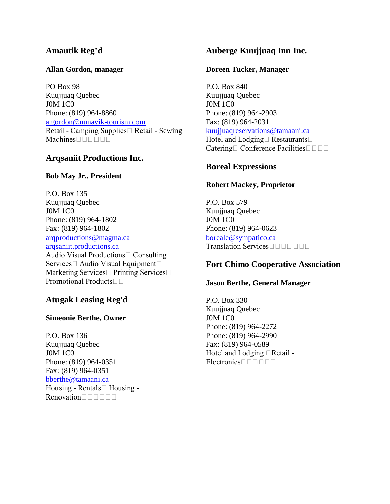# **Amautik Reg'd**

#### **Allan Gordon, manager**

PO Box 98 Kuujjuaq Quebec J0M 1C0 Phone: (819) 964-8860 [a.gordon@nunavik-tourism.com](mailto:a.gordon@nunavik-tourism.com) Retail - Camping Supplies  $\Box$  Retail - Sewing Machines<sup>nnnn</sup>n

## **Arqsaniit Productions Inc.**

#### **Bob May Jr., President**

P.O. Box 135 Kuujjuaq Quebec J0M 1C0 Phone: (819) 964-1802 Fax: (819) 964-1802 [arqproductions@magma.ca](mailto:arqproductions@magma.ca) [arqsaniit.productions.ca](http://arqsaniit.productions.ca/) Audio Visual Productions $\Box$  Consulting Services  $\Box$  Audio Visual Equipment  $\Box$ Marketing Services  $\Box$  Printing Services  $\Box$ Promotional Products□□

# **Atugak Leasing Reg'd**

#### **Simeonie Berthe, Owner**

P.O. Box 136 Kuujjuaq Quebec J0M 1C0 Phone: (819) 964-0351 Fax: (819) 964-0351 [bberthe@tamaani.ca](mailto:bberthe@tamaani.ca) Housing - Rentals $\Box$  Housing - $Renovation \Box \Box \Box \Box \Box$ 

# **Auberge Kuujjuaq Inn Inc.**

#### **Doreen Tucker, Manager**

P.O. Box 840 Kuujjuaq Quebec J0M 1C0 Phone: (819) 964-2903 Fax: (819) 964-2031 [kuujjuaqreservations@tamaani.ca](mailto:kuujjuaqreservations@tamaani.ca) Hotel and Lodging Restaurants  $\Box$ Catering  $\Box$  Conference Facilities  $\Box$   $\Box$   $\Box$ 

### **Boreal Expressions**

### **Robert Mackey, Proprietor**

P.O. Box 579 Kuujjuaq Quebec J0M 1C0 Phone: (819) 964-0623 [boreale@sympatico.ca](mailto:boreale@sympatico.ca) Translation Services

### **Fort Chimo Cooperative Association**

#### **Jason Berthe, General Manager**

P.O. Box 330 Kuujjuaq Quebec J0M 1C0 Phone: (819) 964-2272 Phone: (819) 964-2990 Fax: (819) 964-0589 Hotel and Lodging **Retail** - $Electrons \Box \Box \Box \Box \Box$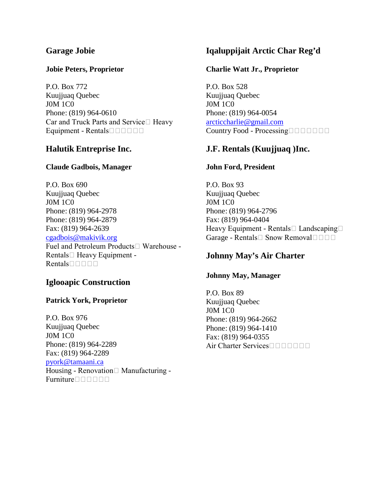# **Garage Jobie**

#### **Jobie Peters, Proprietor**

P.O. Box 772 Kuujjuaq Quebec J0M 1C0 Phone: (819) 964-0610 Car and Truck Parts and Service  $\Box$  Heavy Equipment - Rentals $\square \square \square \square \square$ 

## **Halutik Entreprise Inc.**

#### **Claude Gadbois, Manager**

P.O. Box 690 Kuujjuaq Quebec J0M 1C0 Phone: (819) 964-2978 Phone: (819) 964-2879 Fax: (819) 964-2639 [cgadbois@makivik.org](mailto:cgadbois@makivik.org) Fuel and Petroleum Products Warehouse -Rentals  $\Box$  Heavy Equipment -Rentals $\Box \Box \Box \Box$ 

### **Iglooapic Construction**

#### **Patrick York, Proprietor**

P.O. Box 976 Kuujjuaq Quebec J0M 1C0 Phone: (819) 964-2289 Fax: (819) 964-2289 [pyork@tamaani.ca](mailto:pyork@tamaani.ca) Housing - Renovation  $\Box$  Manufacturing -Furniture<sup>nnnn</sup>

# **Iqaluppijait Arctic Char Reg'd**

### **Charlie Watt Jr., Proprietor**

P.O. Box 528 Kuujjuaq Quebec J0M 1C0 Phone: (819) 964-0054 [arcticcharlie@gmail.com](mailto:arcticcharlie@gmail.com) Country Food - Processing

## **J.F. Rentals (Kuujjuaq )Inc.**

#### **John Ford, President**

P.O. Box 93 Kuujjuaq Quebec J0M 1C0 Phone: (819) 964-2796 Fax: (819) 964-0404 Heavy Equipment - Rentals  $\Box$  Landscaping  $\Box$ Garage - Rentals  $\Box$  Snow Removal  $\Box$   $\Box$   $\Box$ 

## **Johnny May's Air Charter**

#### **Johnny May, Manager**

P.O. Box 89 Kuujjuaq Quebec J0M 1C0 Phone: (819) 964-2662 Phone: (819) 964-1410 Fax: (819) 964-0355 Air Charter Services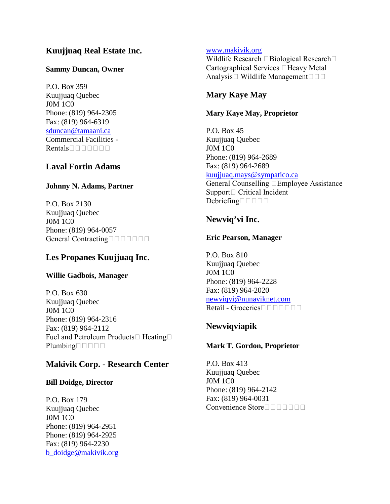# **Kuujjuaq Real Estate Inc.**

### **Sammy Duncan, Owner**

P.O. Box 359 Kuujjuaq Quebec J0M 1C0 Phone: (819) 964-2305 Fax: (819) 964-6319 [sduncan@tamaani.ca](mailto:sduncan@tamaani.ca) Commercial Facilities -  $Rentals \Box \Box \Box \Box \Box \Box$ 

# **Laval Fortin Adams**

## **Johnny N. Adams, Partner**

P.O. Box 2130 Kuujjuaq Quebec J0M 1C0 Phone: (819) 964-0057 General Contracting

# **Les Propanes Kuujjuaq Inc.**

### **Willie Gadbois, Manager**

P.O. Box 630 Kuujjuaq Quebec J0M 1C0 Phone: (819) 964-2316 Fax: (819) 964-2112 Fuel and Petroleum Products  $\Box$  Heating  $\Box$  $Plumbing \Box \Box \Box \Box$ 

# **Makivik Corp. - Research Center**

### **Bill Doidge, Director**

P.O. Box 179 Kuujjuaq Quebec J0M 1C0 Phone: (819) 964-2951 Phone: (819) 964-2925 Fax: (819) 964-2230 [b\\_doidge@makivik.org](mailto:b_doidge@makivik.org)

### [www.makivik.org](http://www.makivik.org/)

Wildlife Research  $\Box$  Biological Research $\Box$ Cartographical Services  $\Box$  Heavy Metal Analysis Wildlife Management  $\square \square$ 

# **Mary Kaye May**

## **Mary Kaye May, Proprietor**

P.O. Box 45 Kuujjuaq Quebec J0M 1C0 Phone: (819) 964-2689 Fax: (819) 964-2689 [kuujjuaq.mays@sympatico.ca](mailto:kuujjuaq.mays@sympatico.ca) General Counselling Employee Assistance  $Support \Box$  Critical Incident Debriefing

# **Newviq'vi Inc.**

# **Eric Pearson, Manager**

P.O. Box 810 Kuujjuaq Quebec J0M 1C0 Phone: (819) 964-2228 Fax: (819) 964-2020 [newviqvi@nunaviknet.com](mailto:newviqvi@nunaviknet.com) Retail - Groceries

# **Newviqviapik**

# **Mark T. Gordon, Proprietor**

P.O. Box 413 Kuujjuaq Quebec J0M 1C0 Phone: (819) 964-2142 Fax: (819) 964-0031 Convenience Store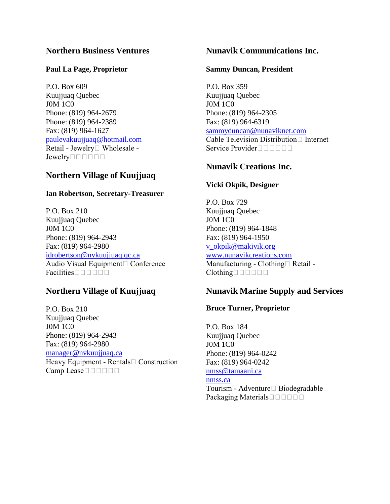# **Northern Business Ventures**

### **Paul La Page, Proprietor**

P.O. Box 609 Kuujjuaq Quebec J0M 1C0 Phone: (819) 964-2679 Phone: (819) 964-2389 Fax: (819) 964-1627 [paulevakuujjuaq@hotmail.com](mailto:paulevakuujjuaq@hotmail.com) Retail - Jewelry Wholesale - $Jewelry \Box \Box \Box \Box$ 

# **Northern Village of Kuujjuaq**

### **Ian Robertson, Secretary-Treasurer**

P.O. Box 210 Kuujjuaq Quebec J0M 1C0 Phone: (819) 964-2943 Fax: (819) 964-2980 [idrobertson@nvkuujjuaq.qc.ca](mailto:idrobertson@nvkuujjuaq.qc.ca) Audio Visual Equipment Conference  $Facilities \Box \Box \Box \Box \Box$ 

# **Northern Village of Kuujjuaq**

P.O. Box 210 Kuujjuaq Quebec J0M 1C0 Phone: (819) 964-2943 Fax: (819) 964-2980 [manager@nvkuujjuaq.ca](mailto:manager@nvkuujjuaq.ca) Heavy Equipment - Rentals<sup>[1]</sup> Construction Camp Lease

## **Nunavik Communications Inc.**

#### **Sammy Duncan, President**

P.O. Box 359 Kuujjuaq Quebec J0M 1C0 Phone: (819) 964-2305 Fax: (819) 964-6319 [sammyduncan@nunaviknet.com](mailto:sammyduncan@nunaviknet.com) Cable Television Distribution  $\Box$  Internet Service Provider

# **Nunavik Creations Inc.**

### **Vicki Okpik, Designer**

P.O. Box 729 Kuujjuaq Quebec J0M 1C0 Phone: (819) 964-1848 Fax: (819) 964-1950 [v\\_okpik@makivik.org](mailto:v_okpik@makivik.org) [www.nunavikcreations.com](http://www.nunavikcreations.com/) Manufacturing - Clothing  $\Box$  Retail - $Clothing \Box \Box \Box \Box \Box$ 

# **Nunavik Marine Supply and Services**

### **Bruce Turner, Proprietor**

P.O. Box 184 Kuujjuaq Quebec J0M 1C0 Phone: (819) 964-0242 Fax: (819) 964-0242 [nmss@tamaani.ca](mailto:nmss@tamaani.ca)

[nmss.ca](http://nmss.ca/)

Tourism - Adventure□ Biodegradable Packaging Materials□□□□□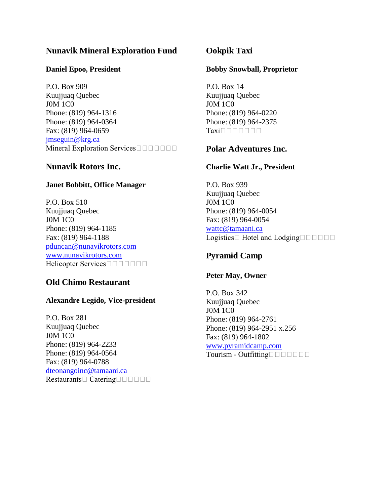# **Nunavik Mineral Exploration Fund**

#### **Daniel Epoo, President**

P.O. Box 909 Kuujjuaq Quebec J0M 1C0 Phone: (819) 964-1316 Phone: (819) 964-0364 Fax: (819) 964-0659 [jmseguin@krg.ca](mailto:jmseguin@krg.ca) Mineral Exploration Services

## **Nunavik Rotors Inc.**

### **Janet Bobbitt, Office Manager**

P.O. Box 510 Kuujjuaq Quebec J0M 1C0 Phone: (819) 964-1185 Fax: (819) 964-1188 [pduncan@nunavikrotors.com](mailto:pduncan@nunavikrotors.com) [www.nunavikrotors.com](http://www.nunavikrotors.com/) Helicopter Services

# **Old Chimo Restaurant**

### **Alexandre Legido, Vice-president**

P.O. Box 281 Kuujjuaq Quebec J0M 1C0 Phone: (819) 964-2233 Phone: (819) 964-0564 Fax: (819) 964-0788 [dteonangoinc@tamaani.ca](mailto:dteonangoinc@tamaani.ca) Restaurants Catering

# **Ookpik Taxi**

### **Bobby Snowball, Proprietor**

P.O. Box 14 Kuujjuaq Quebec J0M 1C0 Phone: (819) 964-0220 Phone: (819) 964-2375 Taxiooooooo

# **Polar Adventures Inc.**

### **Charlie Watt Jr., President**

P.O. Box 939 Kuujjuaq Quebec J0M 1C0 Phone: (819) 964-0054 Fax: (819) 964-0054 [wattc@tamaani.ca](mailto:wattc@tamaani.ca) Logistics  $\Box$  Hotel and Lodging  $\Box$   $\Box$   $\Box$   $\Box$ 

# **Pyramid Camp**

### **Peter May, Owner**

P.O. Box 342 Kuujjuaq Quebec J0M 1C0 Phone: (819) 964-2761 Phone: (819) 964-2951 x.256 Fax: (819) 964-1802 [www.pyramidcamp.com](http://www.pyramidcamp.com/) Tourism - Outfitting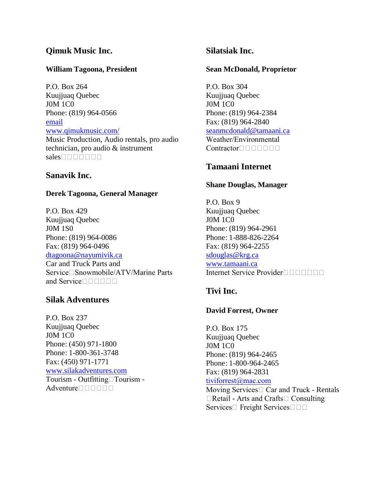# **Qimuk Music Inc.**

### **William Tagoona, President**

P.O. Box 264 Kuujjuaq Quebec J0M 1C0 Phone: (819) 964-0566 [email](mailto:qimukmusic@tamaani.ca) [www.qimukmusic.com/](http://www.qimukmusic.com/) Music Production, Audio rentals, pro audio technician, pro audio & instrument  $sales \Box \Box \Box \Box \Box \Box \Box$ 

### **Sanavik Inc.**

#### **Derek Tagoona, General Manager**

P.O. Box 429 Kuujjuaq Quebec J0M 1S0 Phone: (819) 964-0086 Fax: (819) 964-0496 [dtagoona@nayumivik.ca](mailto:dtagoona@nayumivik.ca) Car and Truck Parts and  $Service \Box$ Snowmobile/ATV/Marine Parts and Service□□□□□□

#### **Silak Adventures**

P.O. Box 237 Kuujjuaq Quebec J0M 1C0 Phone: (450) 971-1800 Phone: 1-800-361-3748 Fax: (450) 971-1771 [www.silakadventures.com](http://www.silakadventures.com/) Tourism - Outfitting□Tourism -Adventure $\square \square \square \square \square$ 

### **Silatsiak Inc.**

#### **Sean McDonald, Proprietor**

P.O. Box 304 Kuujjuaq Quebec J0M 1C0 Phone: (819) 964-2384 Fax: (819) 964-2840 [seanmcdonald@tamaani.ca](mailto:seanmcdonald@tamaani.ca) Weather/Environmental  $Contentactor \Box \Box \Box \Box \Box$ 

### **Tamaani Internet**

#### **Shane Douglas, Manager**

P.O. Box 9 Kuujjuaq Quebec J0M 1C0 Phone: (819) 964-2961 Phone: 1-888-826-2264 Fax: (819) 964-2255 [sdouglas@krg.ca](mailto:sdouglas@krg.ca) [www.tamaani.ca](http://www.tamaani.ca/) Internet Service Provider□□□□□□□□

# **Tivi Inc.**

#### **David Forrest, Owner**

P.O. Box 175 Kuujjuaq Quebec J0M 1C0 Phone: (819) 964-2465 Phone: 1-800-964-2465 Fax: (819) 964-2831 [tiviforrest@mac.com](mailto:tiviforrest@mac.com) Moving Services  $\Box$  Car and Truck - Rentals  $\Box$ Retail - Arts and Crafts $\Box$  Consulting Services  $\Box$  Freight Services  $\Box$   $\Box$